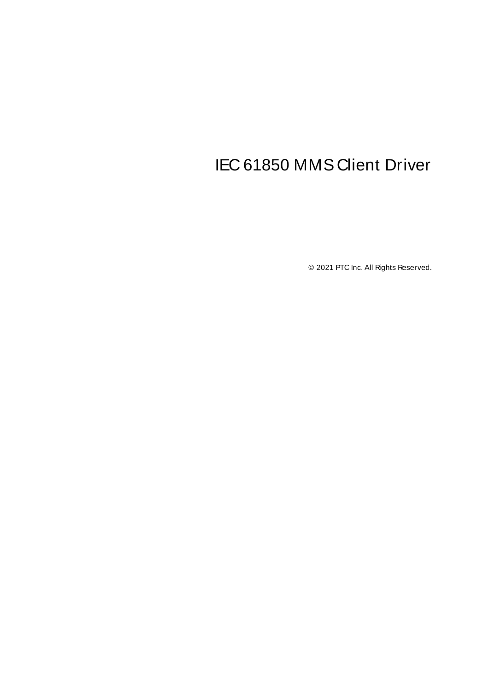# <span id="page-0-0"></span>IEC 61850 MMS Client Driver

© 2021 PTC Inc. All Rights Reserved.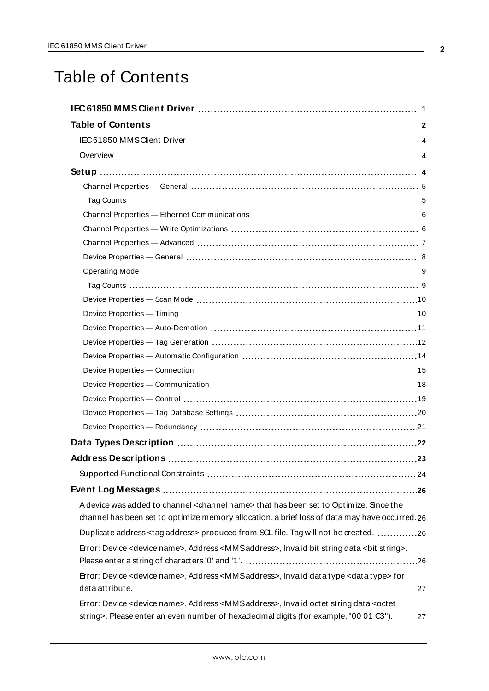## <span id="page-1-0"></span>Table of Contents

| A device was added to channel <channel name=""> that has been set to Optimize. Since the</channel>                                                                                 |
|------------------------------------------------------------------------------------------------------------------------------------------------------------------------------------|
| channel has been set to optimize memory allocation, a brief loss of data may have occurred.26                                                                                      |
| Duplicate address <tag address=""> produced from SCL file. Tag will not be created. 26</tag>                                                                                       |
| Error: Device <device name="">, Address <mms address="">, Invalid bit string data <bit string="">.</bit></mms></device>                                                            |
| Error: Device <device name="">, Address <mmsaddress>, Invalid data type <data type=""> for</data></mmsaddress></device>                                                            |
| Error: Device < device name>, Address < MMSaddress>, Invalid octet string data < octet<br>string>. Please enter an even number of hexadecimal digits (for example, "00 01 C3"). 27 |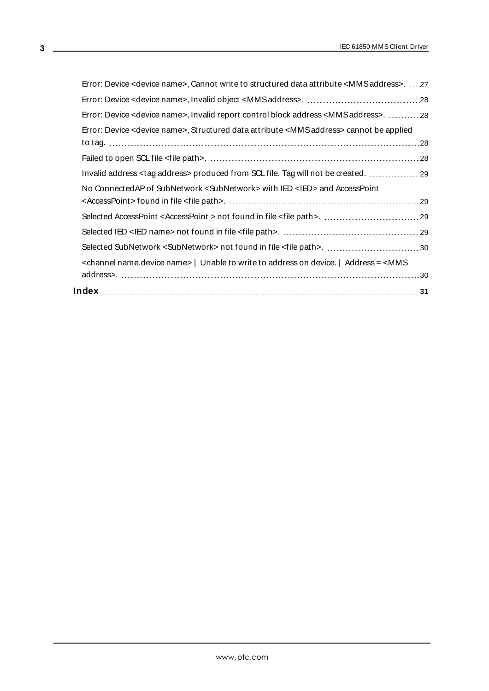| Error: Device <device name="">, Cannot write to structured data attribute <mmsaddress>. 27</mmsaddress></device>            |  |
|-----------------------------------------------------------------------------------------------------------------------------|--|
|                                                                                                                             |  |
| Error: Device <device name="">, Invalid report control block address <mms address="">. 28</mms></device>                    |  |
| Error: Device <device name="">, Structured data attribute <mms address=""> cannot be applied</mms></device>                 |  |
|                                                                                                                             |  |
|                                                                                                                             |  |
| Invalid address <tag address=""> produced from SCL file. Tag will not be created.  29</tag>                                 |  |
| No Connected AP of SubNetwork < SubNetwork > with IED <ied> and AccessPoint</ied>                                           |  |
|                                                                                                                             |  |
|                                                                                                                             |  |
|                                                                                                                             |  |
|                                                                                                                             |  |
| <channel name="" name.device="">   Unable to write to address on device.   Address = <mms< th=""><th></th></mms<></channel> |  |
|                                                                                                                             |  |
|                                                                                                                             |  |

<u> 1989 - Johann Barn, mars ann an t-Amhair an t-A</u>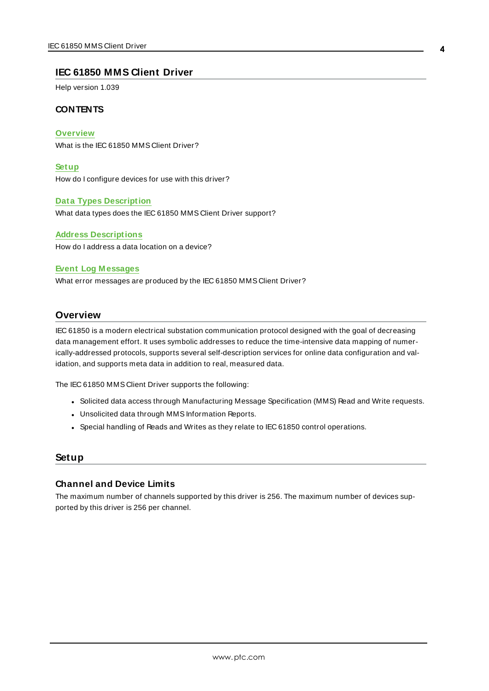#### <span id="page-3-0"></span>**IEC 61850 MMS Client Driver**

Help version 1.039

#### **CONTENTS**

**[Overview](#page-3-1)** What is the IEC 61850 MMS Client Driver?

**[Setup](#page-3-2)** How do I configure devices for use with this driver?

#### **Data Types [Description](#page-21-0)**

What data types does the IEC 61850 MMS Client Driver support?

**Address [Descriptions](#page-22-0)** How do I address a data location on a device?

#### **Event Log [M essages](#page-25-0)**

What error messages are produced by the IEC 61850 MMS Client Driver?

#### <span id="page-3-1"></span>**Overview**

IEC 61850 is a modern electrical substation communication protocol designed with the goal of decreasing data management effort. It uses symbolic addresses to reduce the time-intensive data mapping of numerically-addressed protocols, supports several self-description services for online data configuration and validation, and supports meta data in addition to real, measured data.

The IEC 61850 MMS Client Driver supports the following:

- Solicited data access through Manufacturing Message Specification (MMS) Read and Write requests.
- Unsolicited data through MMS Information Reports.
- Special handling of Reads and Writes as they relate to IEC 61850 control operations.

#### <span id="page-3-2"></span>**Setup**

#### **Channel and Device Limits**

The maximum number of channels supported by this driver is 256. The maximum number of devices supported by this driver is 256 per channel.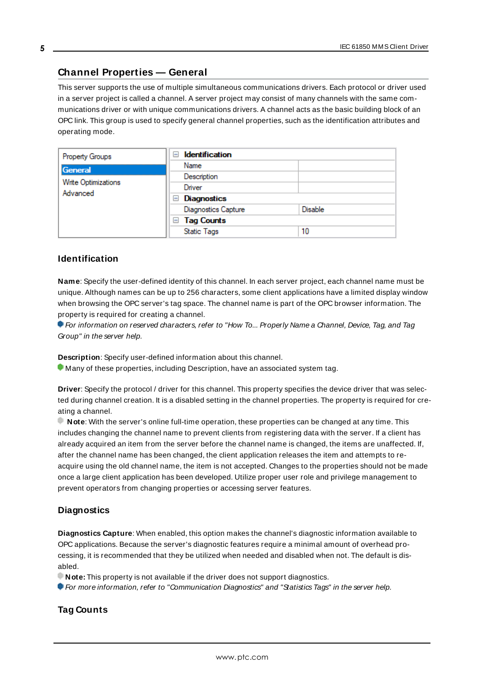### <span id="page-4-0"></span>**Channel Properties — General**

This server supports the use of multiple simultaneous communications drivers. Each protocol or driver used in a server project is called a channel. A server project may consist of many channels with the same communications driver or with unique communications drivers. A channel acts as the basic building block of an OPC link. This group is used to specify general channel properties, such as the identification attributes and operating mode.

| Property Groups                        | <b>Identification</b><br>$=$ |         |
|----------------------------------------|------------------------------|---------|
| General                                | Name                         |         |
| <b>Write Optimizations</b><br>Advanced | Description                  |         |
|                                        | Driver                       |         |
|                                        | Diagnostics<br>$=$           |         |
|                                        | <b>Diagnostics Capture</b>   | Disable |
|                                        | $\Box$ Tag Counts            |         |
|                                        | <b>Static Tags</b>           | 10      |

#### <span id="page-4-3"></span>**Identification**

**Name**: Specify the user-defined identity of this channel. In each server project, each channel name must be unique. Although names can be up to 256 characters, some client applications have a limited display window when browsing the OPC server's tag space. The channel name is part of the OPC browser information. The property is required for creating a channel.

For information on reserved characters, refer to "How To... Properly Name a Channel, Device, Tag, and Tag Group" in the server help.

**Description**: Specify user-defined information about this channel.

Many of these properties, including Description, have an associated system tag.

**Driver**: Specify the protocol / driver for this channel. This property specifies the device driver that was selected during channel creation. It is a disabled setting in the channel properties. The property is required for creating a channel.

**Note**: With the server's online full-time operation, these properties can be changed at any time. This includes changing the channel name to prevent clients from registering data with the server. If a client has already acquired an item from the server before the channel name is changed, the items are unaffected. If, after the channel name has been changed, the client application releases the item and attempts to reacquire using the old channel name, the item is not accepted. Changes to the properties should not be made once a large client application has been developed. Utilize proper user role and privilege management to prevent operators from changing properties or accessing server features.

#### <span id="page-4-2"></span>**Diagnostics**

**Diagnostics Capture**: When enabled, this option makes the channel's diagnostic information available to OPC applications. Because the server's diagnostic features require a minimal amount of overhead processing, it is recommended that they be utilized when needed and disabled when not. The default is disabled.

**Note:** This property is not available if the driver does not support diagnostics.

<span id="page-4-1"></span>For more information, refer to "Communication Diagnostics" and "Statistics Tags" in the server help.

#### **Tag Counts**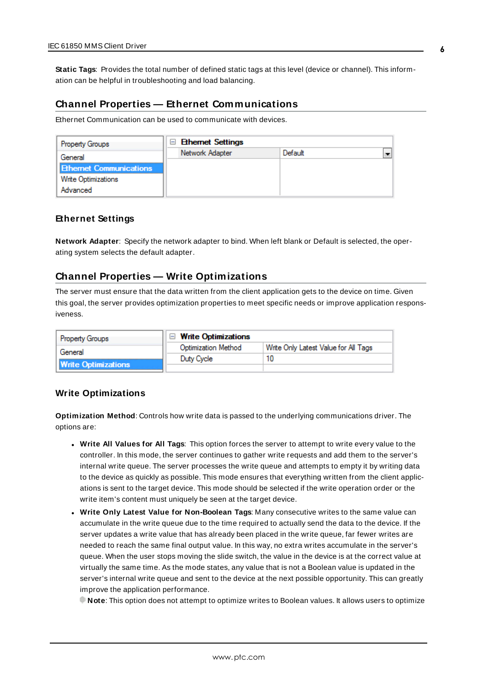**Static Tags**: Provides the total number of defined static tags at this level (device or channel). This information can be helpful in troubleshooting and load balancing.

#### <span id="page-5-0"></span>**Channel Properties — Ethernet Communications**

Ethernet Communication can be used to communicate with devices.

| <b>Property Groups</b>         | <b>Ethernet Settings</b><br>$=$ |         |  |
|--------------------------------|---------------------------------|---------|--|
| General                        | Network Adapter                 | Default |  |
| <b>Ethernet Communications</b> |                                 |         |  |
| <b>Write Optimizations</b>     |                                 |         |  |
| Advanced                       |                                 |         |  |

#### <span id="page-5-4"></span><span id="page-5-3"></span>**Ethernet Settings**

**Network Adapter**: Specify the network adapter to bind. When left blank or Default is selected, the operating system selects the default adapter.

#### <span id="page-5-1"></span>**Channel Properties — Write Optimizations**

The server must ensure that the data written from the client application gets to the device on time. Given this goal, the server provides optimization properties to meet specific needs or improve application responsiveness.

| <b>Property Groups</b>                | $\Box$ Write Optimizations |                                      |
|---------------------------------------|----------------------------|--------------------------------------|
| General<br><b>Write Optimizations</b> | <b>Optimization Method</b> | Write Only Latest Value for All Tags |
|                                       | Duty Cycle                 |                                      |
|                                       |                            |                                      |

#### <span id="page-5-5"></span><span id="page-5-2"></span>**Write Optimizations**

**Optimization Method**: Controls how write data is passed to the underlying communications driver. The options are:

- <span id="page-5-6"></span><sup>l</sup> **Write All Values for All Tags**: This option forces the server to attempt to write every value to the controller. In this mode, the server continues to gather write requests and add them to the server's internal write queue. The server processes the write queue and attempts to empty it by writing data to the device as quickly as possible. This mode ensures that everything written from the client applications is sent to the target device. This mode should be selected if the write operation order or the write item's content must uniquely be seen at the target device.
- <span id="page-5-7"></span><sup>l</sup> **Write Only Latest Value for Non-Boolean Tags**: Many consecutive writes to the same value can accumulate in the write queue due to the time required to actually send the data to the device. If the server updates a write value that has already been placed in the write queue, far fewer writes are needed to reach the same final output value. In this way, no extra writes accumulate in the server's queue. When the user stops moving the slide switch, the value in the device is at the correct value at virtually the same time. As the mode states, any value that is not a Boolean value is updated in the server's internal write queue and sent to the device at the next possible opportunity. This can greatly improve the application performance.

**Note**: This option does not attempt to optimize writes to Boolean values. It allows users to optimize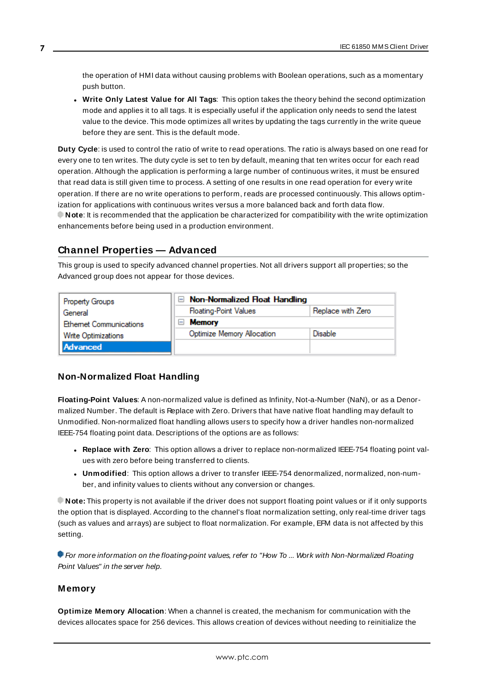<span id="page-6-2"></span>the operation of HMI data without causing problems with Boolean operations, such as a momentary push button.

<sup>l</sup> **Write Only Latest Value for All Tags**: This option takes the theory behind the second optimization mode and applies it to all tags. It is especially useful if the application only needs to send the latest value to the device. This mode optimizes all writes by updating the tags currently in the write queue before they are sent. This is the default mode.

<span id="page-6-1"></span>**Duty Cycle**: is used to control the ratio of write to read operations. The ratio is always based on one read for every one to ten writes. The duty cycle is set to ten by default, meaning that ten writes occur for each read operation. Although the application is performing a large number of continuous writes, it must be ensured that read data is still given time to process. A setting of one results in one read operation for every write operation. If there are no write operations to perform, reads are processed continuously. This allows optimization for applications with continuous writes versus a more balanced back and forth data flow. **Note**: It is recommended that the application be characterized for compatibility with the write optimization enhancements before being used in a production environment.

### <span id="page-6-0"></span>**Channel Properties — Advanced**

**7**

This group is used to specify advanced channel properties. Not all drivers support all properties; so the Advanced group does not appear for those devices.

| Property Groups               | $\Box$ Non-Normalized Float Handling |                   |
|-------------------------------|--------------------------------------|-------------------|
| General                       | <b>Floating-Point Values</b>         | Replace with Zero |
| <b>Ethemet Communications</b> | <b>Memory</b><br>$\overline{ }$      |                   |
| <b>Write Optimizations</b>    | Optimize Memory Allocation           | Disable           |
| Advanced                      |                                      |                   |

#### **Non-Normalized Float Handling**

**Floating-Point Values**: A non-normalized value is defined as Infinity, Not-a-Number (NaN), or as a Denormalized Number. The default is Replace with Zero. Drivers that have native float handling may default to Unmodified. Non-normalized float handling allows users to specify how a driver handles non-normalized IEEE-754 floating point data. Descriptions of the options are as follows:

- <sup>l</sup> **Replace with Zero**: This option allows a driver to replace non-normalized IEEE-754 floating point values with zero before being transferred to clients.
- <sup>l</sup> **Unmodified**: This option allows a driver to transfer IEEE-754 denormalized, normalized, non-number, and infinity values to clients without any conversion or changes.

**Note:** This property is not available if the driver does not support floating point values or if it only supports the option that is displayed. According to the channel's float normalization setting, only real-time driver tags (such as values and arrays) are subject to float normalization. For example, EFM data is not affected by this setting.

For more information on the floating-point values, refer to "How To ... Work with Non-Normalized Floating Point Values" in the server help.

#### **Memory**

**Optimize Memory Allocation**: When a channel is created, the mechanism for communication with the devices allocates space for 256 devices. This allows creation of devices without needing to reinitialize the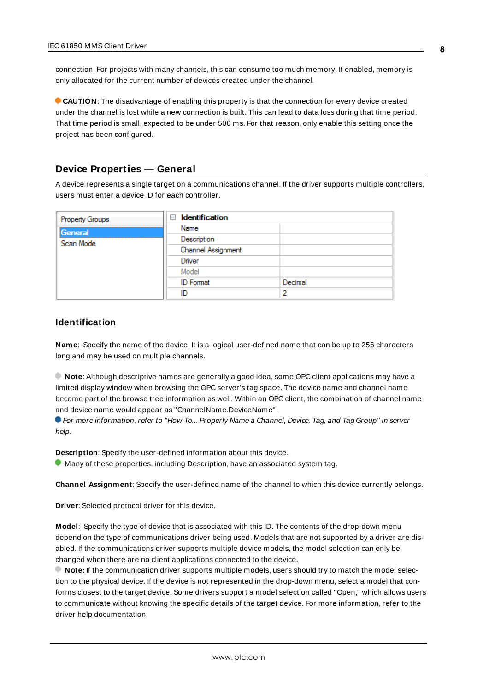connection. For projects with many channels, this can consume too much memory. If enabled, memory is only allocated for the current number of devices created under the channel.

**CAUTION**: The disadvantage of enabling this property is that the connection for every device created under the channel is lost while a new connection is built. This can lead to data loss during that time period. That time period is small, expected to be under 500 ms. For that reason, only enable this setting once the project has been configured.

#### <span id="page-7-0"></span>**Device Properties — General**

A device represents a single target on a communications channel. If the driver supports multiple controllers, users must enter a device ID for each controller.

| <b>Property Groups</b> | <b>Identification</b><br>$=$ |         |
|------------------------|------------------------------|---------|
| General                | Name                         |         |
| Scan Mode              | Description                  |         |
|                        | Channel Assignment           |         |
|                        | Driver                       |         |
|                        | Model                        |         |
|                        | <b>ID</b> Format             | Decimal |
|                        | ID                           | 2       |

#### <span id="page-7-5"></span><span id="page-7-3"></span>**Identification**

**Name**: Specify the name of the device. It is a logical user-defined name that can be up to 256 characters long and may be used on multiple channels.

**Note**: Although descriptive names are generally a good idea, some OPC client applications may have a limited display window when browsing the OPC server's tag space. The device name and channel name become part of the browse tree information as well. Within an OPC client, the combination of channel name and device name would appear as "ChannelName.DeviceName".

For more information, refer to "How To... Properly Name a Channel, Device, Tag, and Tag Group" in server help.

**Description**: Specify the user-defined information about this device.

<span id="page-7-1"></span>**Many of these properties, including Description, have an associated system tag.** 

<span id="page-7-2"></span>**Channel Assignment**: Specify the user-defined name of the channel to which this device currently belongs.

<span id="page-7-4"></span>**Driver**: Selected protocol driver for this device.

**Model**: Specify the type of device that is associated with this ID. The contents of the drop-down menu depend on the type of communications driver being used. Models that are not supported by a driver are disabled. If the communications driver supports multiple device models, the model selection can only be changed when there are no client applications connected to the device.

**Note:** If the communication driver supports multiple models, users should try to match the model selection to the physical device. If the device is not represented in the drop-down menu, select a model that conforms closest to the target device. Some drivers support a model selection called "Open," which allows users to communicate without knowing the specific details of the target device. For more information, refer to the driver help documentation.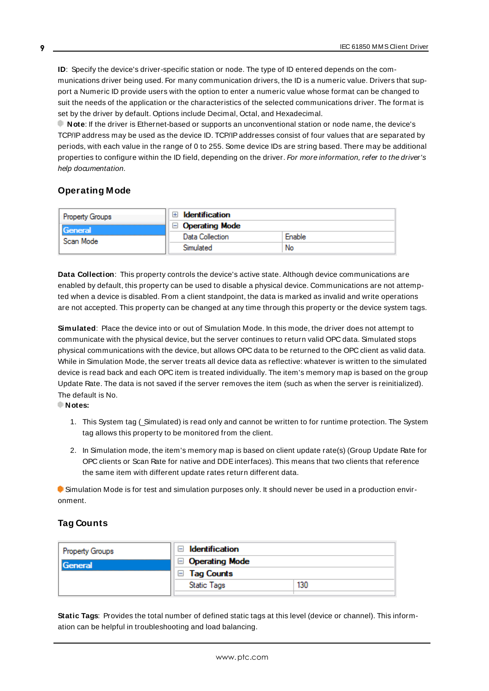<span id="page-8-3"></span>**ID**: Specify the device's driver-specific station or node. The type of ID entered depends on the communications driver being used. For many communication drivers, the ID is a numeric value. Drivers that support a Numeric ID provide users with the option to enter a numeric value whose format can be changed to suit the needs of the application or the characteristics of the selected communications driver. The format is set by the driver by default. Options include Decimal, Octal, and Hexadecimal.

**Note**: If the driver is Ethernet-based or supports an unconventional station or node name, the device's TCP/IPaddress may be used as the device ID. TCP/IPaddresses consist of four values that are separated by periods, with each value in the range of 0 to 255. Some device IDs are string based. There may be additional properties to configure within the ID field, depending on the driver. For more information, refer to the driver's help documentation.

#### <span id="page-8-0"></span>**Operating Mode**

| <b>Property Groups</b> | Identification        |        |
|------------------------|-----------------------|--------|
| General<br>Scan Mode   | $\Box$ Operating Mode |        |
|                        | Data Collection       | Enable |
|                        | Simulated             | No     |

<span id="page-8-2"></span>**Data Collection**: This property controls the device's active state. Although device communications are enabled by default, this property can be used to disable a physical device. Communications are not attempted when a device is disabled. From a client standpoint, the data is marked as invalid and write operations are not accepted. This property can be changed at any time through this property or the device system tags.

<span id="page-8-4"></span>**Simulated**: Place the device into or out of Simulation Mode. In this mode, the driver does not attempt to communicate with the physical device, but the server continues to return valid OPC data. Simulated stops physical communications with the device, but allows OPC data to be returned to the OPC client as valid data. While in Simulation Mode, the server treats all device data as reflective: whatever is written to the simulated device is read back and each OPC item is treated individually. The item's memory map is based on the group Update Rate. The data is not saved if the server removes the item (such as when the server is reinitialized). The default is No.

#### **Notes:**

- 1. This System tag (\_Simulated) is read only and cannot be written to for runtime protection. The System tag allows this property to be monitored from the client.
- 2. In Simulation mode, the item's memory map is based on client update rate(s) (Group Update Rate for OPC clients or Scan Rate for native and DDEinterfaces). This means that two clients that reference the same item with different update rates return different data.

 Simulation Mode is for test and simulation purposes only. It should never be used in a production environment.

#### <span id="page-8-1"></span>**Tag Counts**

| Property Groups | ⊟<br>Identification           |     |
|-----------------|-------------------------------|-----|
| General         | <b>Operating Mode</b><br>$=$  |     |
|                 | <b>Tag Counts</b><br>$\equiv$ |     |
|                 | <b>Static Tags</b>            | 130 |
|                 |                               |     |

**Static Tags**: Provides the total number of defined static tags at this level (device or channel). This information can be helpful in troubleshooting and load balancing.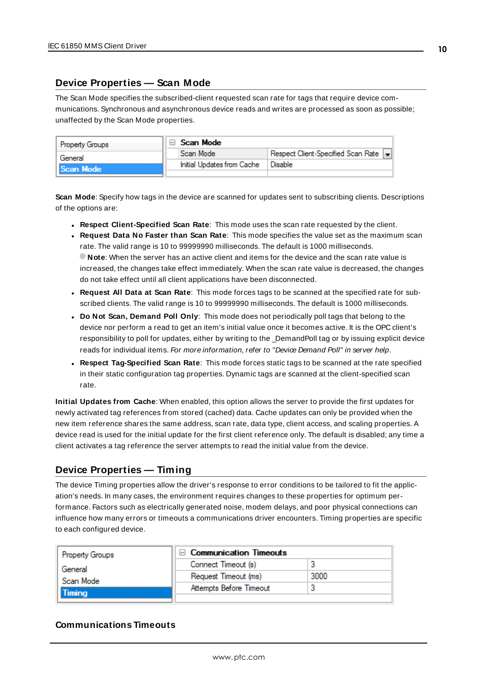#### <span id="page-9-0"></span>**Device Properties — Scan Mode**

The Scan Mode specifies the subscribed-client requested scan rate for tags that require device communications. Synchronous and asynchronous device reads and writes are processed as soon as possible; unaffected by the Scan Mode properties.

| <b>Property Groups</b> |  | Scan Mode                  |                                    |
|------------------------|--|----------------------------|------------------------------------|
| General                |  | Scan Mode                  | Respect Client-Specified Scan Rate |
| Scan Mode              |  | Initial Updates from Cache | Disable                            |
|                        |  |                            |                                    |

<span id="page-9-6"></span>**Scan Mode**: Specify how tags in the device are scanned for updates sent to subscribing clients. Descriptions of the options are:

- <sup>l</sup> **Respect Client-Specified Scan Rate**: This mode uses the scan rate requested by the client.
- <sup>l</sup> **Request Data No Faster than Scan Rate**: This mode specifies the value set as the maximum scan rate. The valid range is 10 to 99999990 milliseconds. The default is 1000 milliseconds. **Note**: When the server has an active client and items for the device and the scan rate value is increased, the changes take effect immediately. When the scan rate value is decreased, the changes do not take effect until all client applications have been disconnected.
- <sup>l</sup> **Request All Data at Scan Rate**: This mode forces tags to be scanned at the specified rate for subscribed clients. The valid range is 10 to 99999990 milliseconds. The default is 1000 milliseconds.
- <span id="page-9-3"></span><sup>l</sup> **Do Not Scan, Demand Poll Only**: This mode does not periodically poll tags that belong to the device nor perform a read to get an item's initial value once it becomes active. It is the OPC client's responsibility to poll for updates, either by writing to the \_DemandPoll tag or by issuing explicit device reads for individual items. For more information, refer to "Device Demand Poll" in server help.
- <span id="page-9-5"></span><sup>l</sup> **Respect Tag-Specified Scan Rate**: This mode forces static tags to be scanned at the rate specified in their static configuration tag properties. Dynamic tags are scanned at the client-specified scan rate.

<span id="page-9-4"></span>**Initial Updates from Cache**: When enabled, this option allows the server to provide the first updates for newly activated tag references from stored (cached) data. Cache updates can only be provided when the new item reference shares the same address, scan rate, data type, client access, and scaling properties. A device read is used for the initial update for the first client reference only. The default is disabled; any time a client activates a tag reference the server attempts to read the initial value from the device.

## <span id="page-9-2"></span><span id="page-9-1"></span>**Device Properties — Timing**

The device Timing properties allow the driver's response to error conditions to be tailored to fit the application's needs. In many cases, the environment requires changes to these properties for optimum performance. Factors such as electrically generated noise, modem delays, and poor physical connections can influence how many errors or timeouts a communications driver encounters. Timing properties are specific to each configured device.

| <b>Property Groups</b> | □ Communication Timeouts |      |
|------------------------|--------------------------|------|
| General                | Connect Timeout (s)      |      |
| Scan Mode              | Request Timeout (ms)     | 3000 |
| Timina                 | Attempts Before Timeout  |      |
|                        |                          |      |

#### **Communications Timeouts**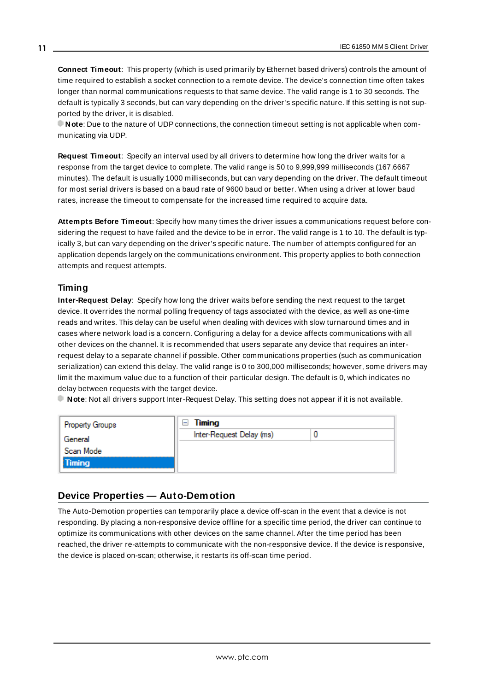<span id="page-10-2"></span>**Connect Timeout**: This property (which is used primarily by Ethernet based drivers) controls the amount of time required to establish a socket connection to a remote device. The device's connection time often takes longer than normal communications requests to that same device. The valid range is 1 to 30 seconds. The default is typically 3 seconds, but can vary depending on the driver's specific nature. If this setting is not supported by the driver, it is disabled.

**Note**: Due to the nature of UDPconnections, the connection timeout setting is not applicable when communicating via UDP.

<span id="page-10-4"></span>**Request Timeout**: Specify an interval used by all drivers to determine how long the driver waits for a response from the target device to complete. The valid range is 50 to 9,999,999 milliseconds (167.6667 minutes). The default is usually 1000 milliseconds, but can vary depending on the driver. The default timeout for most serial drivers is based on a baud rate of 9600 baud or better. When using a driver at lower baud rates, increase the timeout to compensate for the increased time required to acquire data.

<span id="page-10-1"></span>**Attempts Before Timeout**: Specify how many times the driver issues a communications request before considering the request to have failed and the device to be in error. The valid range is 1 to 10. The default is typically 3, but can vary depending on the driver's specific nature. The number of attempts configured for an application depends largely on the communications environment. This property applies to both connection attempts and request attempts.

#### <span id="page-10-3"></span>**Timing**

**Inter-Request Delay**: Specify how long the driver waits before sending the next request to the target device. It overrides the normal polling frequency of tags associated with the device, as well as one-time reads and writes. This delay can be useful when dealing with devices with slow turnaround times and in cases where network load is a concern. Configuring a delay for a device affects communications with all other devices on the channel. It is recommended that users separate any device that requires an interrequest delay to a separate channel if possible. Other communications properties (such as communication serialization) can extend this delay. The valid range is 0 to 300,000 milliseconds; however, some drivers may limit the maximum value due to a function of their particular design. The default is 0, which indicates no delay between requests with the target device.

**Note**: Not all drivers support Inter-Request Delay. This setting does not appear if it is not available.

| Property Groups      | Timing<br>⊢              |  |
|----------------------|--------------------------|--|
| General<br>Scan Mode | Inter-Request Delay (ms) |  |
|                      |                          |  |
| Timing               |                          |  |

#### <span id="page-10-0"></span>**Device Properties — Auto-Demotion**

The Auto-Demotion properties can temporarily place a device off-scan in the event that a device is not responding. By placing a non-responsive device offline for a specific time period, the driver can continue to optimize its communications with other devices on the same channel. After the time period has been reached, the driver re-attempts to communicate with the non-responsive device. If the device is responsive, the device is placed on-scan; otherwise, it restarts its off-scan time period.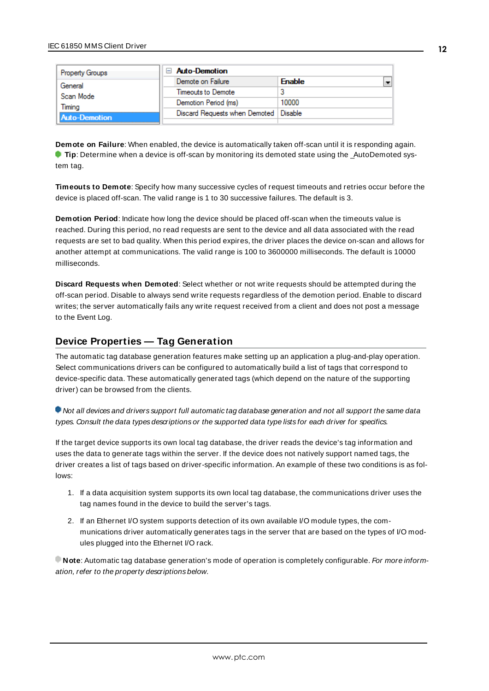|                                                        | <b>Property Groups</b>                  | $\Box$ Auto-Demotion |               |
|--------------------------------------------------------|-----------------------------------------|----------------------|---------------|
| General<br>Scan Mode<br>Timina<br><b>Auto-Demotion</b> |                                         | Demote on Failure    | <b>Enable</b> |
|                                                        | Timeouts to Demote                      |                      |               |
|                                                        | Demotion Period (ms)                    | 10000                |               |
|                                                        | Discard Requests when Demoted   Disable |                      |               |
|                                                        |                                         |                      |               |

<span id="page-11-1"></span>**Demote on Failure**: When enabled, the device is automatically taken off-scan until it is responding again. **Tip**: Determine when a device is off-scan by monitoring its demoted state using the \_AutoDemoted system tag.

<span id="page-11-4"></span>**Timeouts to Demote**: Specify how many successive cycles of request timeouts and retries occur before the device is placed off-scan. The valid range is 1 to 30 successive failures. The default is 3.

<span id="page-11-2"></span>**Demotion Period**: Indicate how long the device should be placed off-scan when the timeouts value is reached. During this period, no read requests are sent to the device and all data associated with the read requests are set to bad quality. When this period expires, the driver places the device on-scan and allows for another attempt at communications. The valid range is 100 to 3600000 milliseconds. The default is 10000 milliseconds.

<span id="page-11-3"></span>**Discard Requests when Demoted**: Select whether or not write requests should be attempted during the off-scan period. Disable to always send write requests regardless of the demotion period. Enable to discard writes; the server automatically fails any write request received from a client and does not post a message to the Event Log.

#### <span id="page-11-0"></span>**Device Properties — Tag Generation**

The automatic tag database generation features make setting up an application a plug-and-play operation. Select communications drivers can be configured to automatically build a list of tags that correspond to device-specific data. These automatically generated tags (which depend on the nature of the supporting driver) can be browsed from the clients.

Not all devices and drivers support full automatic tag database generation and not all support the same data types. Consult the data types descriptions or the supported data type lists for each driver for specifics.

If the target device supports its own local tag database, the driver reads the device's tag information and uses the data to generate tags within the server. If the device does not natively support named tags, the driver creates a list of tags based on driver-specific information. An example of these two conditions is as follows:

- 1. If a data acquisition system supports its own local tag database, the communications driver uses the tag names found in the device to build the server's tags.
- 2. If an Ethernet I/O system supports detection of its own available I/O module types, the communications driver automatically generates tags in the server that are based on the types of I/O modules plugged into the Ethernet I/O rack.

**Note:** Automatic tag database generation's mode of operation is completely configurable. For more information, refer to the property descriptions below.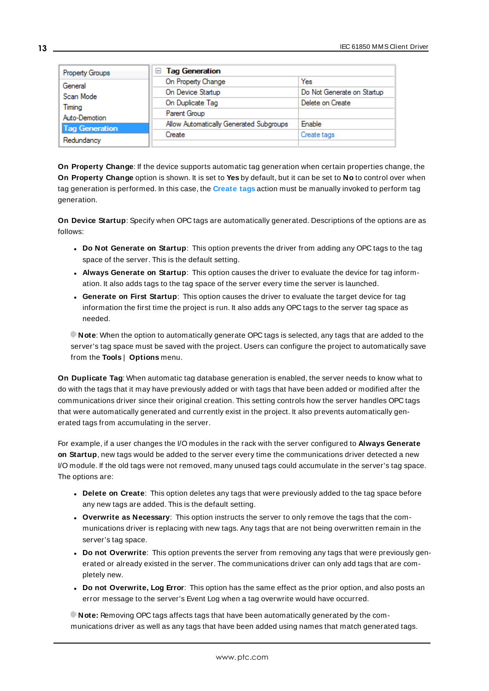| Property Groups       | □ Tag Generation                        |                            |
|-----------------------|-----------------------------------------|----------------------------|
| General               | On Property Change                      | Yes                        |
| Scan Mode             | On Device Startup                       | Do Not Generate on Startup |
| Timing                | On Duplicate Tag                        | Delete on Create           |
| Auto-Demotion         | Parent Group                            |                            |
| <b>Tag Generation</b> | Allow Automatically Generated Subgroups | Enable                     |
|                       | Create                                  | Create tags                |
| Redundancy            |                                         |                            |

<span id="page-12-4"></span>**On Property Change**: If the device supports automatic tag generation when certain properties change, the **On Property Change** option is shown. It is set to **Yes** by default, but it can be set to **No** to control over when tag generation is performed. In this case, the **Create tags** action must be manually invoked to perform tag generation.

<span id="page-12-2"></span>**On Device Startup**: Specify when OPC tags are automatically generated. Descriptions of the options are as follows:

- <span id="page-12-1"></span><sup>l</sup> **Do Not Generate on Startup**: This option prevents the driver from adding any OPC tags to the tag space of the server. This is the default setting.
- <sup>l</sup> **Always Generate on Startup**: This option causes the driver to evaluate the device for tag information. It also adds tags to the tag space of the server every time the server is launched.
- <sup>l</sup> **Generate on First Startup**: This option causes the driver to evaluate the target device for tag information the first time the project is run. It also adds any OPC tags to the server tag space as needed.

**Note**: When the option to automatically generate OPC tags is selected, any tags that are added to the server's tag space must be saved with the project. Users can configure the project to automatically save from the **Tools** | **Options** menu.

<span id="page-12-3"></span>**On Duplicate Tag**: When automatic tag database generation is enabled, the server needs to know what to do with the tags that it may have previously added or with tags that have been added or modified after the communications driver since their original creation. This setting controls how the server handles OPC tags that were automatically generated and currently exist in the project. It also prevents automatically generated tags from accumulating in the server.

For example, if a user changes the I/O modules in the rack with the server configured to **Always Generate on Startup**, new tags would be added to the server every time the communications driver detected a new I/O module. If the old tags were not removed, many unused tags could accumulate in the server's tag space. The options are:

- <span id="page-12-0"></span>**.** Delete on Create: This option deletes any tags that were previously added to the tag space before any new tags are added. This is the default setting.
- <span id="page-12-5"></span><sup>l</sup> **Overwrite as Necessary**: This option instructs the server to only remove the tags that the communications driver is replacing with new tags. Any tags that are not being overwritten remain in the server's tag space.
- **.** Do not Overwrite: This option prevents the server from removing any tags that were previously generated or already existed in the server. The communications driver can only add tags that are completely new.
- <sup>l</sup> **Do not Overwrite, Log Error**: This option has the same effect as the prior option, and also posts an error message to the server's Event Log when a tag overwrite would have occurred.

**Note:** Removing OPC tags affects tags that have been automatically generated by the communications driver as well as any tags that have been added using names that match generated tags.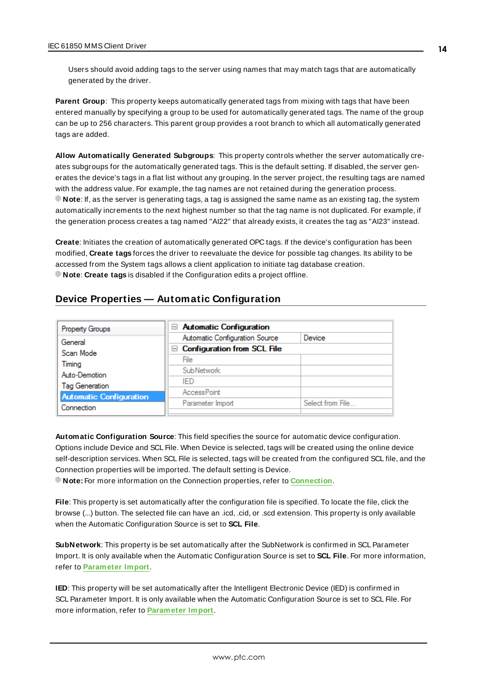Users should avoid adding tags to the server using names that may match tags that are automatically generated by the driver.

<span id="page-13-3"></span>**Parent Group**: This property keeps automatically generated tags from mixing with tags that have been entered manually by specifying a group to be used for automatically generated tags. The name of the group can be up to 256 characters. This parent group provides a root branch to which all automatically generated tags are added.

<span id="page-13-1"></span>**Allow Automatically Generated Subgroups**: This property controls whether the server automatically creates subgroups for the automatically generated tags. This is the default setting. If disabled, the server generates the device's tags in a flat list without any grouping. In the server project, the resulting tags are named with the address value. For example, the tag names are not retained during the generation process. **Note**: If, as the server is generating tags, a tag is assigned the same name as an existing tag, the system automatically increments to the next highest number so that the tag name is not duplicated. For example, if the generation process creates a tag named "AI22" that already exists, it creates the tag as "AI23" instead.

<span id="page-13-2"></span>**Create**: Initiates the creation of automatically generated OPC tags. If the device's configuration has been modified, **Create tags** forces the driver to reevaluate the device for possible tag changes. Its ability to be accessed from the System tags allows a client application to initiate tag database creation. **Note**: **Create tags** is disabled if the Configuration edits a project offline.

### <span id="page-13-0"></span>**Device Properties — Automatic Configuration**

| Property Groups                | $\Box$ Automatic Configuration     |                  |
|--------------------------------|------------------------------------|------------------|
| General                        | Automatic Configuration Source     | Device           |
| Scan Mode                      | $\Box$ Configuration from SCL File |                  |
| Timing                         | File                               |                  |
| Auto-Demotion                  | <b>SubNetwork</b>                  |                  |
| <b>Tag Generation</b>          | IFD                                |                  |
| <b>Automatic Configuration</b> | <b>AccessPoint</b>                 |                  |
| Connection                     | Parameter Import                   | Select from File |
|                                |                                    |                  |

**Automatic Configuration Source**: This field specifies the source for automatic device configuration. Options include Device and SCL File. When Device is selected, tags will be created using the online device self-description services. When SCL File is selected, tags will be created from the configured SCL file, and the Connection properties will be imported. The default setting is Device.

<span id="page-13-4"></span>**Note:** For more information on the Connection properties, refer to **[Connection](#page-14-0)**.

**File**: This property is set automatically after the configuration file is specified. To locate the file, click the browse (...) button. The selected file can have an .icd, .cid, or .scd extension. This property is only available when the Automatic Configuration Source is set to **SCL File**.

**SubNetwork**: This property is be set automatically after the SubNetwork is confirmed in SCL Parameter Import. It is only available when the Automatic Configuration Source is set to **SCL File**. For more information, refer to **[Parameter](#page-14-1) Import**.

**IED**: This property will be set automatically after the Intelligent Electronic Device (IED) is confirmed in SCL Parameter Import. It is only available when the Automatic Configuration Source is set to SCL File. For more information, refer to **[Parameter](#page-14-1) Import**.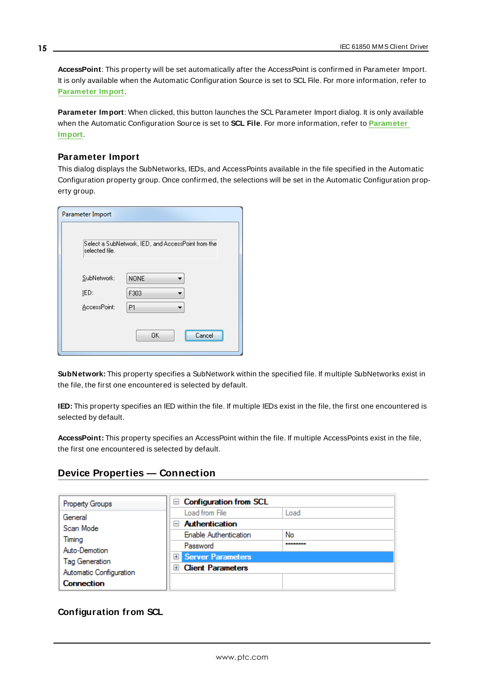**AccessPoint**: This property will be set automatically after the AccessPoint is confirmed in Parameter Import. It is only available when the Automatic Configuration Source is set to SCL File. For more information, refer to **[Parameter](#page-14-1) Import**.

<span id="page-14-1"></span>**Parameter Import**: When clicked, this button launches the SCL Parameter Import dialog. It is only available when the Automatic Configuration Source is set to **SCL File**. For more information, refer to **[Parameter](#page-14-1) [Import](#page-14-1)**.

#### **Parameter Import**

This dialog displays the SubNetworks, IEDs, and AccessPoints available in the file specified in the Automatic Configuration property group. Once confirmed, the selections will be set in the Automatic Configuration property group.

| Parameter Import                    |                                                    |
|-------------------------------------|----------------------------------------------------|
| selected file.                      | Select a SubNetwork, IED, and AccessPoint from the |
| SubNetwork:<br>IED:<br>AccessPoint: | <b>NONE</b><br>F303<br>P1                          |
|                                     | OK<br>Cancel                                       |

**SubNetwork:** This property specifies a SubNetwork within the specified file. If multiple SubNetworks exist in the file, the first one encountered is selected by default.

**IED:** This property specifies an IED within the file. If multiple IEDs exist in the file, the first one encountered is selected by default.

**AccessPoint:** This property specifies an AccessPoint within the file. If multiple AccessPoints exist in the file, the first one encountered is selected by default.

## <span id="page-14-0"></span>**Device Properties — Connection**

| <b>Property Groups</b>                                            | $\Box$ Configuration from SCL   |      |
|-------------------------------------------------------------------|---------------------------------|------|
| General                                                           | Load from File                  | Load |
| Scan Mode                                                         | <b>Authentication</b><br>$=$    |      |
| Timing                                                            | <b>Enable Authentication</b>    | No   |
| Auto-Demotion<br><b>Tag Generation</b><br>Automatic Configuration | Password                        |      |
|                                                                   | <b>El Server Parameters</b>     |      |
|                                                                   | <b>Client Parameters</b><br>$+$ |      |
| <b>Connection</b>                                                 |                                 |      |

## **Configuration from SCL**

**15**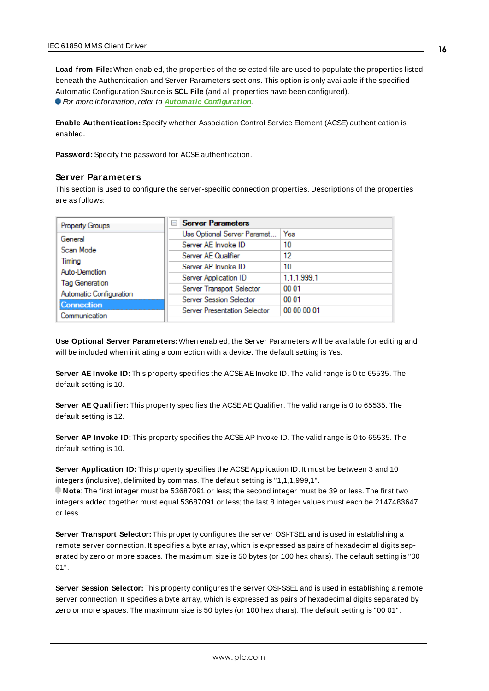**Load from File:** When enabled, the properties of the selected file are used to populate the properties listed beneath the Authentication and Server Parameters sections. This option is only available if the specified Automatic Configuration Source is **SCL File** (and all properties have been configured). For more information, refer to **Automatic [Configuration](#page-13-0)**.

**Enable Authentication:** Specify whether Association Control Service Element (ACSE) authentication is enabled.

Password: Specify the password for ACSE authentication.

#### **Server Parameters**

This section is used to configure the server-specific connection properties. Descriptions of the properties are as follows:

| <b>Property Groups</b>  | <b>Server Parameters</b><br>$-$ |             |  |
|-------------------------|---------------------------------|-------------|--|
| General                 | Use Optional Server Paramet     | Yes         |  |
| Scan Mode               | Server AE Invoke ID             | 10          |  |
|                         | Server AE Qualifier             | 12          |  |
| Timina                  | Server AP Invoke ID             | 10          |  |
| Auto-Demotion           | Server Application ID           | 1.1.1.999.1 |  |
| Tag Generation          | Server Transport Selector       | 00 01       |  |
| Automatic Configuration | Server Session Selector         | 00 01       |  |
| <b>Connection</b>       | Server Presentation Selector    | 00 00 00 01 |  |
| Communication           |                                 |             |  |

**Use Optional Server Parameters:** When enabled, the Server Parameters will be available for editing and will be included when initiating a connection with a device. The default setting is Yes.

**Server AE Invoke ID:** This property specifies the ACSEAEInvoke ID. The valid range is 0 to 65535. The default setting is 10.

**Server AE Qualifier:** This property specifies the ACSEAE Qualifier. The valid range is 0 to 65535. The default setting is 12.

**Server AP Invoke ID:** This property specifies the ACSEAPInvoke ID. The valid range is 0 to 65535. The default setting is 10.

**Server Application ID:** This property specifies the ACSE Application ID. It must be between 3 and 10 integers (inclusive), delimited by commas. The default setting is "1,1,1,999,1".

**Note**; The first integer must be 53687091 or less; the second integer must be 39 or less. The first two integers added together must equal 53687091 or less; the last 8 integer values must each be 2147483647 or less.

**Server Transport Selector:** This property configures the server OSI-TSEL and is used in establishing a remote server connection. It specifies a byte array, which is expressed as pairs of hexadecimal digits separated by zero or more spaces. The maximum size is 50 bytes (or 100 hex chars). The default setting is "00 01".

**Server Session Selector:** This property configures the server OSI-SSEL and is used in establishing a remote server connection. It specifies a byte array, which is expressed as pairs of hexadecimal digits separated by zero or more spaces. The maximum size is 50 bytes (or 100 hex chars). The default setting is "00 01".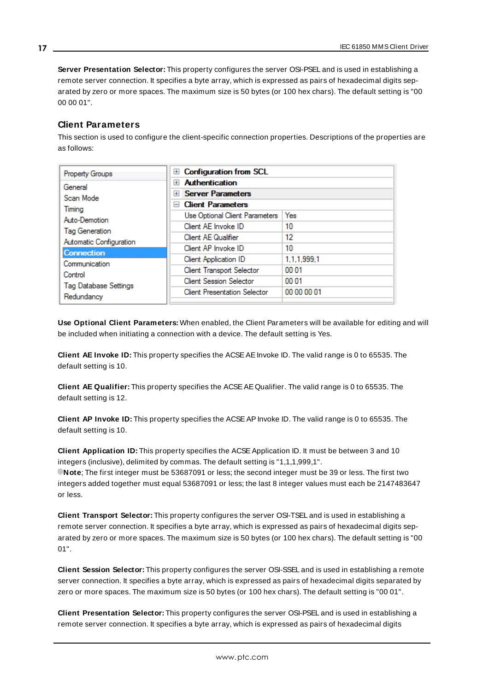**Server Presentation Selector:** This property configures the server OSI-PSEL and is used in establishing a remote server connection. It specifies a byte array, which is expressed as pairs of hexadecimal digits separated by zero or more spaces. The maximum size is 50 bytes (or 100 hex chars). The default setting is "00 00 00 01".

#### **Client Parameters**

This section is used to configure the client-specific connection properties. Descriptions of the properties are as follows:

| <b>Property Groups</b>                     | <b>Configuration from SCL</b><br>$+$       |             |
|--------------------------------------------|--------------------------------------------|-------------|
| General                                    | <b>Authentication</b><br>$+$               |             |
| Scan Mode                                  | <b>Server Parameters</b><br>$+$            |             |
| Timina                                     | <b>Client Parameters</b><br>$\overline{ }$ |             |
| Auto-Demotion                              | Use Optional Client Parameters             | Yes         |
| Tag Generation                             | Client AE Invoke ID                        | 10          |
| Automatic Configuration                    | Client AE Qualifier                        | 12          |
| <b>Connection</b>                          | Client AP Invoke ID                        | 10          |
| Communication                              | Client Application ID                      | 1,1,1,999,1 |
|                                            | <b>Client Transport Selector</b>           | 00 01       |
| Control                                    | <b>Client Session Selector</b>             | 00 01       |
| <b>Tag Database Settings</b><br>Redundancy | <b>Client Presentation Selector</b>        | 00 00 00 01 |
|                                            |                                            |             |

**Use Optional Client Parameters:** When enabled, the Client Parameters will be available for editing and will be included when initiating a connection with a device. The default setting is Yes.

**Client AE Invoke ID:** This property specifies the ACSEAEInvoke ID. The valid range is 0 to 65535. The default setting is 10.

**Client AE Qualifier:** This property specifies the ACSEAE Qualifier. The valid range is 0 to 65535. The default setting is 12.

**Client AP Invoke ID:** This property specifies the ACSEAPInvoke ID. The valid range is 0 to 65535. The default setting is 10.

**Client Application ID:** This property specifies the ACSEApplication ID. It must be between 3 and 10 integers (inclusive), delimited by commas. The default setting is "1,1,1,999,1". **Note**; The first integer must be 53687091 or less; the second integer must be 39 or less. The first two integers added together must equal 53687091 or less; the last 8 integer values must each be 2147483647 or less.

**Client Transport Selector:** This property configures the server OSI-TSEL and is used in establishing a remote server connection. It specifies a byte array, which is expressed as pairs of hexadecimal digits separated by zero or more spaces. The maximum size is 50 bytes (or 100 hex chars). The default setting is "00 01".

**Client Session Selector:** This property configures the server OSI-SSEL and is used in establishing a remote server connection. It specifies a byte array, which is expressed as pairs of hexadecimal digits separated by zero or more spaces. The maximum size is 50 bytes (or 100 hex chars). The default setting is "00 01".

**Client Presentation Selector:** This property configures the server OSI-PSEL and is used in establishing a remote server connection. It specifies a byte array, which is expressed as pairs of hexadecimal digits

**17**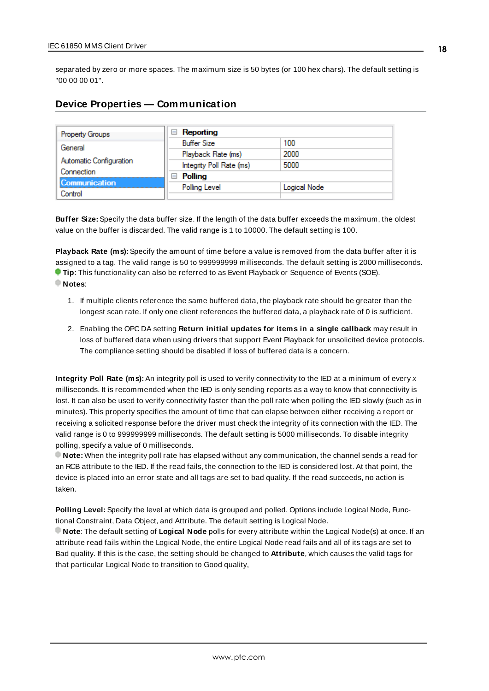separated by zero or more spaces. The maximum size is 50 bytes (or 100 hex chars). The default setting is "00 00 00 01".

### <span id="page-17-0"></span>**Device Properties — Communication**

| Property Groups         | Reporting<br>$\equiv$    |              |
|-------------------------|--------------------------|--------------|
| General                 | <b>Buffer Size</b>       | 100          |
|                         | Playback Rate (ms)       | 2000         |
| Automatic Configuration | Integrity Poll Rate (ms) | 5000         |
| Connection              | Polling<br>$\overline{}$ |              |
| <b>Communication</b>    | Polling Level            | Logical Node |
| Control                 |                          |              |

**Buffer Size:** Specify the data buffer size. If the length of the data buffer exceeds the maximum, the oldest value on the buffer is discarded. The valid range is 1 to 10000. The default setting is 100.

**Playback Rate (ms):** Specify the amount of time before a value is removed from the data buffer after it is assigned to a tag. The valid range is 50 to 999999999 milliseconds. The default setting is 2000 milliseconds. **Tip**: This functionality can also be referred to as Event Playback or Sequence of Events (SOE). **Notes**:

- 1. If multiple clients reference the same buffered data, the playback rate should be greater than the longest scan rate. If only one client references the buffered data, a playback rate of 0 is sufficient.
- 2. Enabling the OPC DA setting **Return initial updates for items in a single callback** may result in loss of buffered data when using drivers that support Event Playback for unsolicited device protocols. The compliance setting should be disabled if loss of buffered data is a concern.

**Integrity Poll Rate (ms):** An integrity poll is used to verify connectivity to the IED at a minimum of every x milliseconds. It is recommended when the IED is only sending reports as a way to know that connectivity is lost. It can also be used to verify connectivity faster than the poll rate when polling the IED slowly (such as in minutes). This property specifies the amount of time that can elapse between either receiving a report or receiving a solicited response before the driver must check the integrity of its connection with the IED. The valid range is 0 to 999999999 milliseconds. The default setting is 5000 milliseconds. To disable integrity polling, specify a value of 0 milliseconds.

**Note:** When the integrity poll rate has elapsed without any communication, the channel sends a read for an RCB attribute to the IED. If the read fails, the connection to the IED is considered lost. At that point, the device is placed into an error state and all tags are set to bad quality. If the read succeeds, no action is taken.

**Polling Level:** Specify the level at which data is grouped and polled. Options include Logical Node, Functional Constraint, Data Object, and Attribute. The default setting is Logical Node.

**Note**: The default setting of **Logical Node** polls for every attribute within the Logical Node(s) at once. If an attribute read fails within the Logical Node, the entire Logical Node read fails and all of its tags are set to Bad quality. If this is the case, the setting should be changed to **Attribute**, which causes the valid tags for that particular Logical Node to transition to Good quality,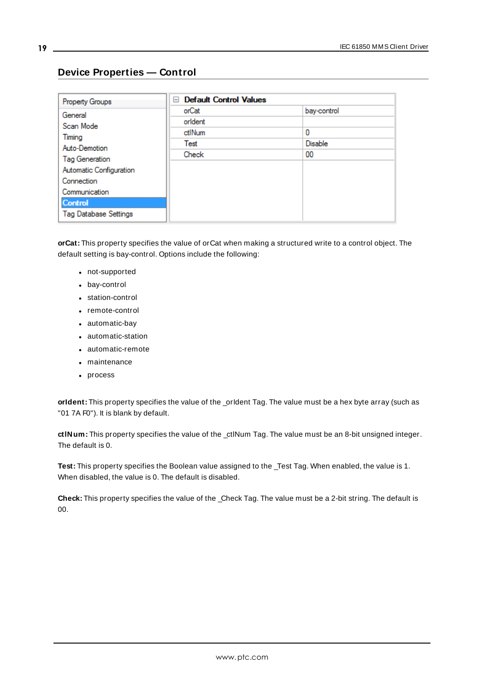**19**

| Property Groups              | <b>Default Control Values</b><br>E |                |
|------------------------------|------------------------------------|----------------|
| General                      | orCat                              | bay-control    |
| Scan Mode                    | orldent                            |                |
|                              | ctlNum                             | 0              |
| Timing<br>Auto-Demotion      | Test                               | <b>Disable</b> |
| Tag Generation               | Check                              | 00             |
| Automatic Configuration      |                                    |                |
| Connection                   |                                    |                |
| Communication                |                                    |                |
| <b>Control</b>               |                                    |                |
| <b>Tag Database Settings</b> |                                    |                |

## <span id="page-18-0"></span>**Device Properties — Control**

**orCat:** This property specifies the value of orCat when making a structured write to a control object. The default setting is bay-control. Options include the following:

- not-supported
- bay-control
- station-control
- remote-control
- automatic-bay
- automatic-station
- automatic-remote
- maintenance
- process

**orIdent:** This property specifies the value of the \_orIdent Tag. The value must be a hex byte array (such as "01 7A F0"). It is blank by default.

**ctlNum:** This property specifies the value of the \_ctlNum Tag. The value must be an 8-bit unsigned integer. The default is 0.

**Test:** This property specifies the Boolean value assigned to the \_Test Tag. When enabled, the value is 1. When disabled, the value is 0. The default is disabled.

**Check:** This property specifies the value of the \_Check Tag. The value must be a 2-bit string. The default is 00.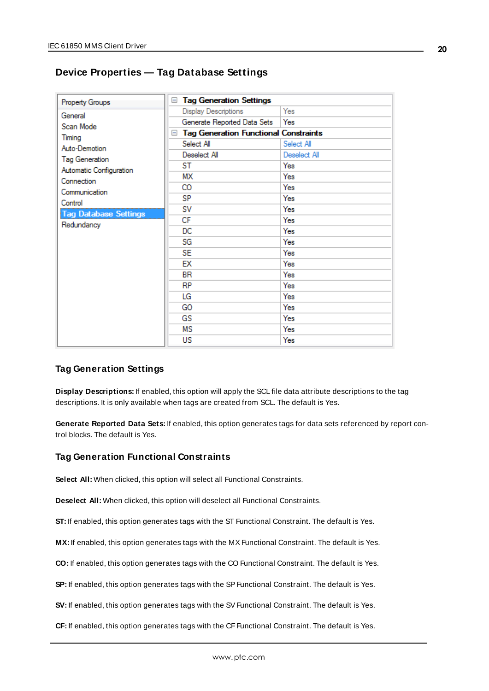## <span id="page-19-0"></span>**Device Properties — Tag Database Settings**

| Property Groups              | <b>Tag Generation Settings</b><br>$=$               |              |
|------------------------------|-----------------------------------------------------|--------------|
| General                      | Display Descriptions                                | Yes          |
| Scan Mode                    | Generate Reported Data Sets                         | Yes          |
|                              | <b>Tag Generation Functional Constraints</b><br>$=$ |              |
| Timing                       | Select All                                          | Select All   |
| Auto-Demotion                | Deselect All                                        | Deselect All |
| <b>Tag Generation</b>        | ST                                                  | Yes          |
| Automatic Configuration      | МΧ                                                  | Yes          |
| Connection                   | CO                                                  | Yes          |
| Communication                | SP                                                  | Yes          |
| Control                      | sv                                                  | Yes          |
| <b>Tag Database Settings</b> | СF                                                  | Yes          |
| Redundancy                   | DC                                                  | Yes          |
|                              | SG                                                  | Yes          |
|                              | <b>SE</b>                                           | Yes          |
|                              |                                                     |              |
|                              | ЕX                                                  | Yes          |
|                              | BR                                                  | Yes          |
|                              | RP                                                  | Yes          |
|                              | LG                                                  | Yes          |
|                              | GO                                                  | Yes          |
|                              | GS                                                  | Yes          |
|                              | ΜS                                                  | Yes          |
|                              | US                                                  | Yes          |

#### **Tag Generation Settings**

**Display Descriptions:** If enabled, this option will apply the SCL file data attribute descriptions to the tag descriptions. It is only available when tags are created from SCL. The default is Yes.

**Generate Reported Data Sets:** If enabled, this option generates tags for data sets referenced by report control blocks. The default is Yes.

#### **Tag Generation Functional Constraints**

**Select All:** When clicked, this option will select all Functional Constraints.

**Deselect All:** When clicked, this option will deselect all Functional Constraints.

**ST:** If enabled, this option generates tags with the ST Functional Constraint. The default is Yes.

MX: If enabled, this option generates tags with the MX Functional Constraint. The default is Yes.

**CO:** If enabled, this option generates tags with the CO Functional Constraint. The default is Yes.

**SP:** If enabled, this option generates tags with the SP Functional Constraint. The default is Yes.

**SV:** If enabled, this option generates tags with the SV Functional Constraint. The default is Yes.

**CF:** If enabled, this option generates tags with the CFFunctional Constraint. The default is Yes.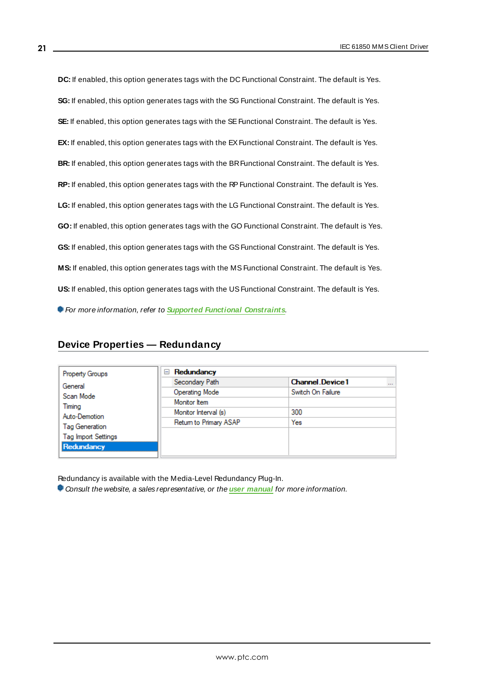**DC:** If enabled, this option generates tags with the DC Functional Constraint. The default is Yes. **SG:** If enabled, this option generates tags with the SG Functional Constraint. The default is Yes. **SE:** If enabled, this option generates tags with the SE Functional Constraint. The default is Yes. **EX:** If enabled, this option generates tags with the EX Functional Constraint. The default is Yes. **BR:** If enabled, this option generates tags with the BRFunctional Constraint. The default is Yes. **RP:** If enabled, this option generates tags with the RPFunctional Constraint. The default is Yes. **LG:** If enabled, this option generates tags with the LG Functional Constraint. The default is Yes. **GO:** If enabled, this option generates tags with the GO Functional Constraint. The default is Yes. GS: If enabled, this option generates tags with the GS Functional Constraint. The default is Yes. **MS:** If enabled, this option generates tags with the MSFunctional Constraint. The default is Yes. US: If enabled, this option generates tags with the US Functional Constraint. The default is Yes. For more information, refer to **Supported Functional Constraints**.

#### <span id="page-20-0"></span>**Device Properties — Redundancy**

| <b>Property Groups</b>     | Redundancy<br>$=$      |                                    |
|----------------------------|------------------------|------------------------------------|
| General                    | Secondary Path         | <b>Channel Device1</b><br>$\cdots$ |
| Scan Mode                  | <b>Operating Mode</b>  | Switch On Failure                  |
| Timing                     | Monitor Item           |                                    |
| Auto-Demotion              | Monitor Interval (s)   | 300                                |
| <b>Tag Generation</b>      | Return to Primary ASAP | Yes                                |
| <b>Tag Import Settings</b> |                        |                                    |
| Redundancy                 |                        |                                    |

Redundancy is available with the Media-Level Redundancy Plug-In.

Consult the website, a sales representative, or the **user [manual](https://www.kepware.com/getattachment/35461efd-b53a-4219-a109-a89fad20b230/media-level-redundancy-manual.pdf)** for more information.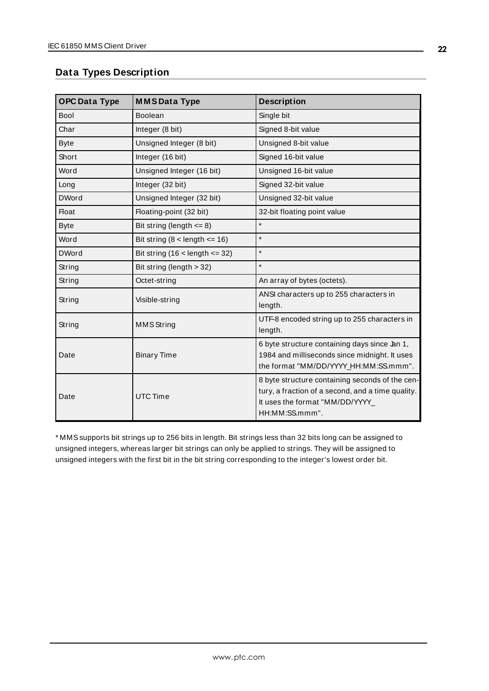## <span id="page-21-0"></span>**Data Types Description**

| <b>OPC Data Type</b> | <b>MMSData Type</b>              | <b>Description</b>                                                                                                                                        |
|----------------------|----------------------------------|-----------------------------------------------------------------------------------------------------------------------------------------------------------|
| <b>Bool</b>          | Boolean                          | Single bit                                                                                                                                                |
| Char                 | Integer (8 bit)                  | Signed 8-bit value                                                                                                                                        |
| <b>Byte</b>          | Unsigned Integer (8 bit)         | Unsigned 8-bit value                                                                                                                                      |
| Short                | Integer (16 bit)                 | Signed 16-bit value                                                                                                                                       |
| Word                 | Unsigned Integer (16 bit)        | Unsigned 16-bit value                                                                                                                                     |
| Long                 | Integer (32 bit)                 | Signed 32-bit value                                                                                                                                       |
| <b>DWord</b>         | Unsigned Integer (32 bit)        | Unsigned 32-bit value                                                                                                                                     |
| <b>Float</b>         | Floating-point (32 bit)          | 32-bit floating point value                                                                                                                               |
| <b>Byte</b>          | Bit string (length $\leq$ 8)     | $\star$                                                                                                                                                   |
| Word                 | Bit string $(8$ < length <= 16)  | $\star$                                                                                                                                                   |
| <b>DWord</b>         | Bit string $(16$ < length <= 32) | $\star$                                                                                                                                                   |
| String               | Bit string (length > 32)         | $\star$                                                                                                                                                   |
| String               | Octet-string                     | An array of bytes (octets).                                                                                                                               |
| String               | Visible-string                   | ANSI characters up to 255 characters in<br>length.                                                                                                        |
| String               | <b>MMS</b> String                | UTF-8 encoded string up to 255 characters in<br>length.                                                                                                   |
| Date                 | <b>Binary Time</b>               | 6 byte structure containing days since Jan 1,<br>1984 and milliseconds since midnight. It uses<br>the format "MM/DD/YYYY_HH:MM:SS.mmm".                   |
| Date                 | <b>UTC Time</b>                  | 8 byte structure containing seconds of the cen-<br>tury, a fraction of a second, and a time quality.<br>It uses the format "MM/DD/YYYY_<br>HH:MM:SS.mmm". |

\* MMSsupports bit strings up to 256 bits in length. Bit strings less than 32 bits long can be assigned to unsigned integers, whereas larger bit strings can only be applied to strings. They will be assigned to unsigned integers with the first bit in the bit string corresponding to the integer's lowest order bit.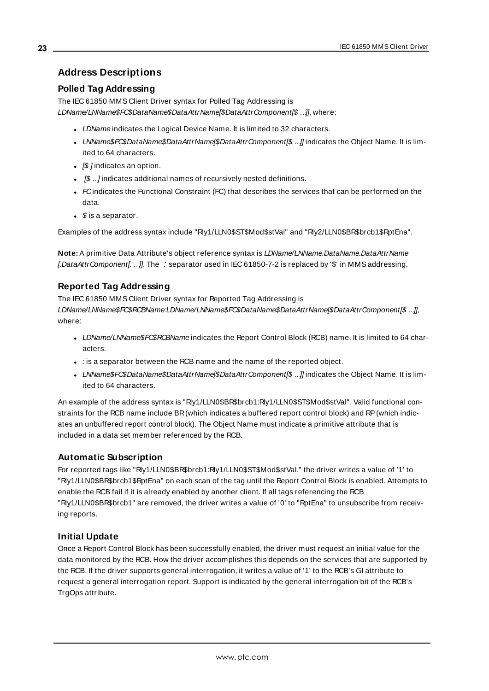#### <span id="page-22-0"></span>**Address Descriptions**

#### **Polled Tag Addressing**

The IEC 61850 MMS Client Driver syntax for Polled Tag Addressing is LDName/LNName\$FC\$DataName\$DataAttrName[\$DataAttrComponent[\$ ..]], where:

- LDName indicates the Logical Device Name. It is limited to 32 characters.
- . LNName\$FC\$DataName\$DataAttrName(\$DataAttrComponent(\$ ...) indicates the Object Name. It is limited to 64 characters.
- $[$]$  indicates an option.
- $\bullet$   $\beta$  .. *l* indicates additional names of recursively nested definitions.
- $\bullet$  FC indicates the Functional Constraint (FC) that describes the services that can be performed on the data.
- $\bullet$  \$ is a separator.

Examples of the address syntax include "Rly1/LLN0\$ST\$Mod\$stVal" and "Rly2/LLN0\$BR\$brcb1\$RptEna".

**Note:** A primitive Data Attribute's object reference syntax is LDName/LNName.DataName.DataAttrName [.DataAttrComponent[. ..]]. The '.' separator used in IEC 61850-7-2 is replaced by '\$' in MMS addressing.

#### **Reported Tag Addressing**

The IEC 61850 MMS Client Driver syntax for Reported Tag Addressing is LDName/LNName\$FC\$RCBName:LDName/LNName\$FC\$DataName\$DataAttrName[\$DataAttrComponent[\$ …]], where:

- LDName/LNName\$FC\$RCBName indicates the Report Control Block (RCB) name. It is limited to 64 characters.
- $\cdot$  : is a separator between the RCB name and the name of the reported object.
- . LNName\$FC\$DataName\$DataAttrName|\$DataAttrComponent|\$ ...] indicates the Object Name. It is limited to 64 characters.

An example of the address syntax is "Rly1/LLN0\$BR\$brcb1:Rly1/LLN0\$ST\$Mod\$stVal". Valid functional constraints for the RCB name include BR(which indicates a buffered report control block) and RP(which indicates an unbuffered report control block). The Object Name must indicate a primitive attribute that is included in a data set member referenced by the RCB.

#### **Automatic Subscription**

For reported tags like "Rly1/LLN0\$BR\$brcb1:Rly1/LLN0\$ST\$Mod\$stVal," the driver writes a value of '1' to "Rly1/LLN0\$BR\$brcb1\$RptEna" on each scan of the tag until the Report Control Block is enabled. Attempts to enable the RCB fail if it is already enabled by another client. If all tags referencing the RCB "Rly1/LLN0\$BR\$brcb1" are removed, the driver writes a value of '0' to "RptEna" to unsubscribe from receiving reports.

#### **Initial Update**

Once a Report Control Block has been successfully enabled, the driver must request an initial value for the data monitored by the RCB. How the driver accomplishes this depends on the services that are supported by the RCB. If the driver supports general interrogation, it writes a value of '1' to the RCB's GI attribute to request a general interrogation report. Support is indicated by the general interrogation bit of the RCB's TrgOps attribute.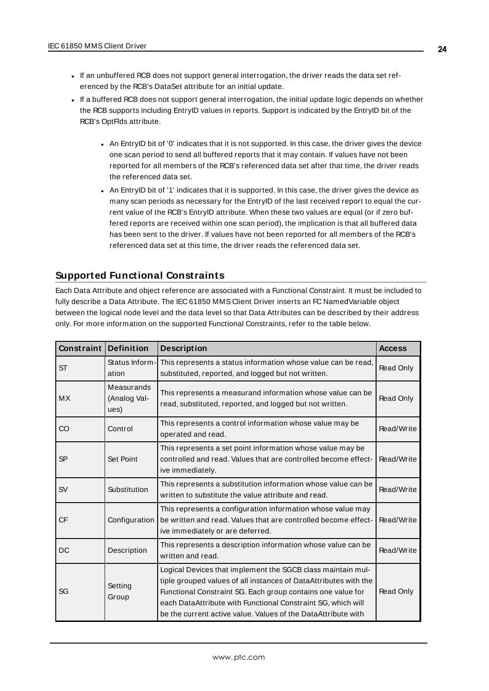- <sup>l</sup> If an unbuffered RCB does not support general interrogation, the driver reads the data set referenced by the RCB's DataSet attribute for an initial update.
- If a buffered RCB does not support general interrogation, the initial update logic depends on whether the RCB supports including EntryID values in reports. Support is indicated by the EntryID bit of the RCB's OptFlds attribute.
	- An EntryID bit of '0' indicates that it is not supported. In this case, the driver gives the device one scan period to send all buffered reports that it may contain. If values have not been reported for all members of the RCB's referenced data set after that time, the driver reads the referenced data set.
	- An EntryID bit of '1' indicates that it is supported. In this case, the driver gives the device as many scan periods as necessary for the EntryID of the last received report to equal the current value of the RCB's EntryID attribute. When these two values are equal (or if zero buffered reports are received within one scan period), the implication is that all buffered data has been sent to the driver. If values have not been reported for all members of the RCB's referenced data set at this time, the driver reads the referenced data set.

## <span id="page-23-0"></span>**Supported Functional Constraints**

Each Data Attribute and object reference are associated with a Functional Constraint. It must be included to fully describe a Data Attribute. The IEC 61850 MMS Client Driver inserts an FC NamedVariable object between the logical node level and the data level so that Data Attributes can be described by their address only. For more information on the supported Functional Constraints, refer to the table below.

| Constraint | <b>Definition</b>                  | <b>Description</b>                                                                                                                                                                                                                                                                                                              | <b>Access</b> |
|------------|------------------------------------|---------------------------------------------------------------------------------------------------------------------------------------------------------------------------------------------------------------------------------------------------------------------------------------------------------------------------------|---------------|
| <b>ST</b>  | Status Inform-<br>ation            | This represents a status information whose value can be read,<br>substituted, reported, and logged but not written.                                                                                                                                                                                                             | Read Only     |
| <b>MX</b>  | Measurands<br>(Analog Val-<br>ues) | This represents a measurand information whose value can be<br>read, substituted, reported, and logged but not written.                                                                                                                                                                                                          | Read Only     |
| CO         | Control                            | This represents a control information whose value may be<br>operated and read.                                                                                                                                                                                                                                                  | Read/Write    |
| <b>SP</b>  | Set Point                          | This represents a set point information whose value may be<br>controlled and read. Values that are controlled become effect-<br>ive immediately.                                                                                                                                                                                | Read/Write    |
| <b>SV</b>  | Substitution                       | This represents a substitution information whose value can be<br>written to substitute the value attribute and read.                                                                                                                                                                                                            | Read/Write    |
| <b>CF</b>  | Configuration                      | This represents a configuration information whose value may<br>be written and read. Values that are controlled become effect-<br>ive immediately or are deferred.                                                                                                                                                               | Read/Write    |
| DC         | Description                        | This represents a description information whose value can be<br>written and read.                                                                                                                                                                                                                                               | Read/Write    |
| SG         | Setting<br>Group                   | Logical Devices that implement the SGCB class maintain mul-<br>tiple grouped values of all instances of DataAttributes with the<br>Functional Constraint SG. Each group contains one value for<br>each DataAttribute with Functional Constraint SG, which will<br>be the current active value. Values of the DataAttribute with | Read Only     |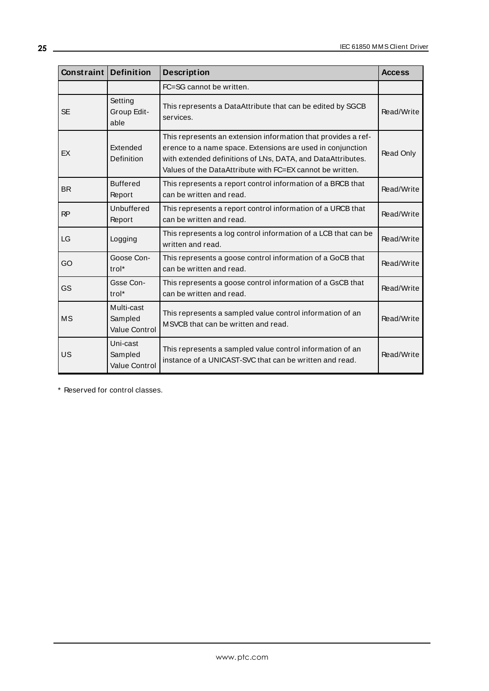| Constraint | <b>Definition</b>                             | <b>Description</b>                                                                                                                                                                                                                                      | <b>Access</b> |
|------------|-----------------------------------------------|---------------------------------------------------------------------------------------------------------------------------------------------------------------------------------------------------------------------------------------------------------|---------------|
|            |                                               | FC=SG cannot be written.                                                                                                                                                                                                                                |               |
| <b>SE</b>  | Setting<br>Group Edit-<br>able                | This represents a DataAttribute that can be edited by SGCB<br>services.                                                                                                                                                                                 | Read/Write    |
| EX         | Extended<br>Definition                        | This represents an extension information that provides a ref-<br>erence to a name space. Extensions are used in conjunction<br>with extended definitions of LNs, DATA, and DataAttributes.<br>Values of the DataAttribute with FC=EX cannot be written. | Read Only     |
| <b>BR</b>  | <b>Buffered</b><br>Report                     | This represents a report control information of a BRCB that<br>can be written and read.                                                                                                                                                                 | Read/Write    |
| RP         | Unbuffered<br>Report                          | This represents a report control information of a URCB that<br>can be written and read.                                                                                                                                                                 | Read/Write    |
| LG         | Logging                                       | This represents a log control information of a LCB that can be<br>written and read.                                                                                                                                                                     | Read/Write    |
| GO         | Goose Con-<br>trol*                           | This represents a goose control information of a GoCB that<br>can be written and read.                                                                                                                                                                  | Read/Write    |
| GS         | Gsse Con-<br>trol <sup>*</sup>                | This represents a goose control information of a GsCB that<br>can be written and read.                                                                                                                                                                  | Read/Write    |
| <b>MS</b>  | Multi-cast<br>Sampled<br><b>Value Control</b> | This represents a sampled value control information of an<br>MSVCB that can be written and read.                                                                                                                                                        | Read/Write    |
| US         | Uni-cast<br>Sampled<br><b>Value Control</b>   | This represents a sampled value control information of an<br>instance of a UNICAST-SVC that can be written and read.                                                                                                                                    | Read/Write    |

\* Reserved for control classes.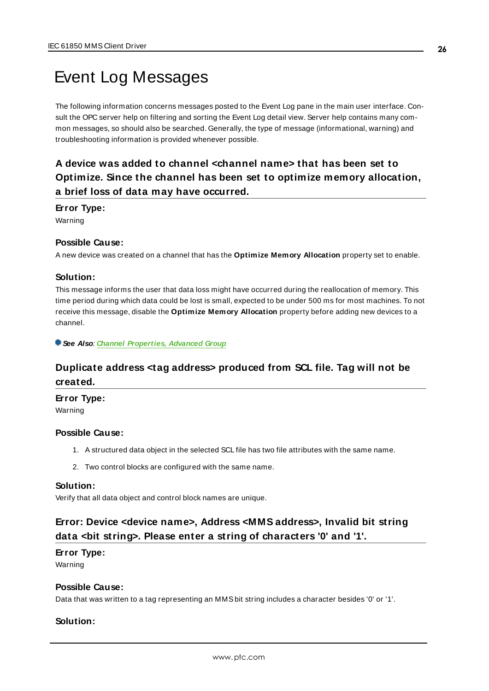## <span id="page-25-0"></span>Event Log Messages

The following information concerns messages posted to the Event Log pane in the main user interface. Consult the OPC server help on filtering and sorting the Event Log detail view. Server help contains many common messages, so should also be searched. Generally, the type of message (informational, warning) and troubleshooting information is provided whenever possible.

## <span id="page-25-1"></span>**A device was added to channel <channel name> that has been set to Optimize. Since the channel has been set to optimize memory allocation, a brief loss of data may have occurred.**

#### **Error Type:**

Warning

#### **Possible Cause:**

A new device was created on a channel that has the **Optimize Memory Allocation** property set to enable.

#### **Solution:**

This message informs the user that data loss might have occurred during the reallocation of memory. This time period during which data could be lost is small, expected to be under 500 ms for most machines. To not receive this message, disable the **Optimize Memory Allocation** property before adding new devices to a channel.

<span id="page-25-2"></span>**See Also**: **Channel [Properties,](#page-6-0) Advanced Group**

## **Duplicate address <tag address> produced from SCL file. Tag will not be created.**

**Error Type:**

Warning

#### **Possible Cause:**

- 1. A structured data object in the selected SCL file has two file attributes with the same name.
- 2. Two control blocks are configured with the same name.

#### **Solution:**

<span id="page-25-3"></span>Verify that all data object and control block names are unique.

## **Error: Device <device name>, Address <MMS address>, Invalid bit string data <bit string>. Please enter a string of characters '0' and '1'.**

#### **Error Type:**

Warning

#### **Possible Cause:**

Data that was written to a tag representing an MMSbit string includes a character besides '0' or '1'.

#### **Solution:**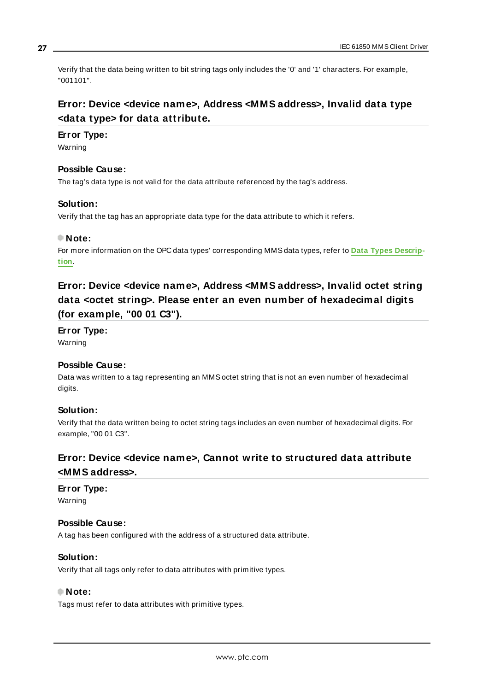Verify that the data being written to bit string tags only includes the '0' and '1' characters. For example, "001101".

## <span id="page-26-0"></span>**Error: Device <device name>, Address <MMS address>, Invalid data type <data type> for data attribute.**

#### **Error Type:**

Warning

#### **Possible Cause:**

The tag's data type is not valid for the data attribute referenced by the tag's address.

#### **Solution:**

Verify that the tag has an appropriate data type for the data attribute to which it refers.

#### **Note:**

For more information on the OPC data types' corresponding MMSdata types, refer to **Data Types [Descrip](#page-21-0)[tion](#page-21-0)**.

## <span id="page-26-1"></span>**Error: Device <device name>, Address <MMS address>, Invalid octet string data <octet string>. Please enter an even number of hexadecimal digits (for example, "00 01 C3").**

**Error Type:** Warning

## **Possible Cause:**

Data was written to a tag representing an MMSoctet string that is not an even number of hexadecimal digits.

#### **Solution:**

Verify that the data written being to octet string tags includes an even number of hexadecimal digits. For example, "00 01 C3".

## <span id="page-26-2"></span>**Error: Device <device name>, Cannot write to structured data attribute <MMS address>.**

## **Error Type:**

Warning

### **Possible Cause:**

A tag has been configured with the address of a structured data attribute.

#### **Solution:**

Verify that all tags only refer to data attributes with primitive types.

#### **Note:**

Tags must refer to data attributes with primitive types.

**27**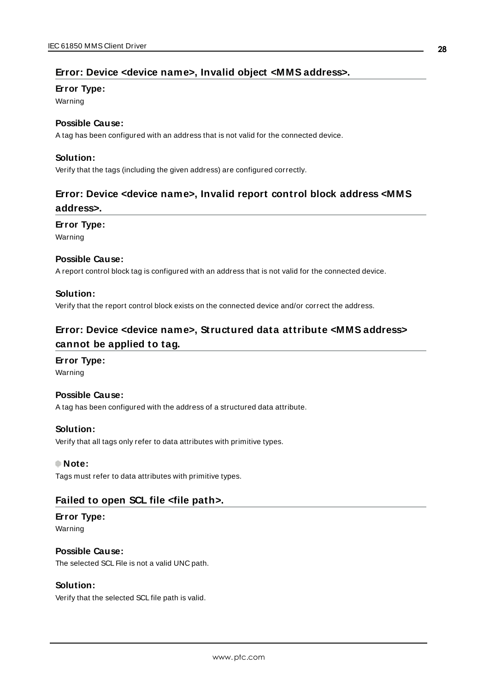#### <span id="page-27-0"></span>**Error: Device <device name>, Invalid object <MMS address>.**

#### **Error Type:**

Warning

#### **Possible Cause:**

A tag has been configured with an address that is not valid for the connected device.

#### **Solution:**

<span id="page-27-1"></span>Verify that the tags (including the given address) are configured correctly.

## **Error: Device <device name>, Invalid report control block address <MMS address>.**

#### **Error Type:**

Warning

#### **Possible Cause:**

A report control block tag is configured with an address that is not valid for the connected device.

#### **Solution:**

<span id="page-27-2"></span>Verify that the report control block exists on the connected device and/or correct the address.

## **Error: Device <device name>, Structured data attribute <MMS address> cannot be applied to tag.**

#### **Error Type:**

Warning

#### **Possible Cause:**

A tag has been configured with the address of a structured data attribute.

#### **Solution:**

Verify that all tags only refer to data attributes with primitive types.

#### **Note:**

<span id="page-27-3"></span>Tags must refer to data attributes with primitive types.

#### **Failed to open SCL file <file path>.**

#### **Error Type:**

Warning

#### **Possible Cause:**

The selected SCL File is not a valid UNC path.

#### **Solution:**

Verify that the selected SCL file path is valid.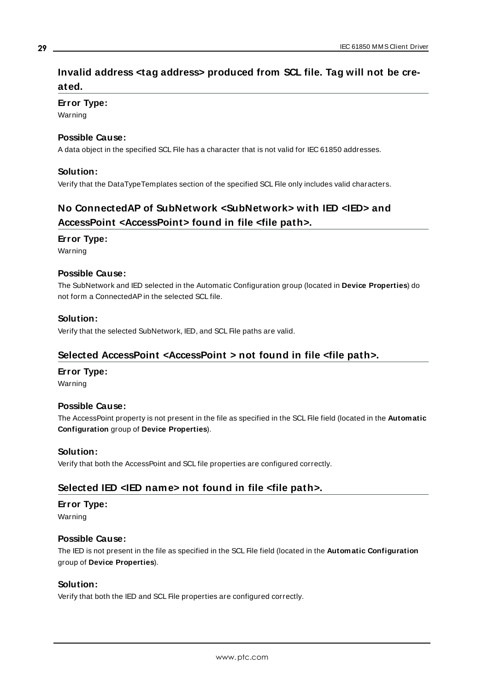## <span id="page-28-0"></span>**Invalid address <tag address> produced from SCL file. Tag will not be created.**

#### **Error Type:**

Warning

#### **Possible Cause:**

A data object in the specified SCL File has a character that is not valid for IEC 61850 addresses.

#### **Solution:**

<span id="page-28-1"></span>Verify that the DataTypeTemplates section of the specified SCL File only includes valid characters.

## **No ConnectedAP of SubNetwork <SubNetwork> with IED <IED> and AccessPoint <AccessPoint> found in file <file path>.**

#### **Error Type:**

Warning

#### **Possible Cause:**

The SubNetwork and IED selected in the Automatic Configuration group (located in **Device Properties**) do not form a ConnectedAPin the selected SCL file.

#### **Solution:**

<span id="page-28-2"></span>Verify that the selected SubNetwork, IED, and SCL File paths are valid.

#### **Selected AccessPoint <AccessPoint > not found in file <file path>.**

#### **Error Type:**

Warning

#### **Possible Cause:**

The AccessPoint property is not present in the file as specified in the SCL File field (located in the **Automatic Configuration** group of **Device Properties**).

#### **Solution:**

<span id="page-28-3"></span>Verify that both the AccessPoint and SCL file properties are configured correctly.

#### **Selected IED <IED name> not found in file <file path>.**

## **Error Type:**

Warning

#### **Possible Cause:**

The IED is not present in the file as specified in the SCL File field (located in the **Automatic Configuration** group of **Device Properties**).

#### **Solution:**

Verify that both the IED and SCL File properties are configured correctly.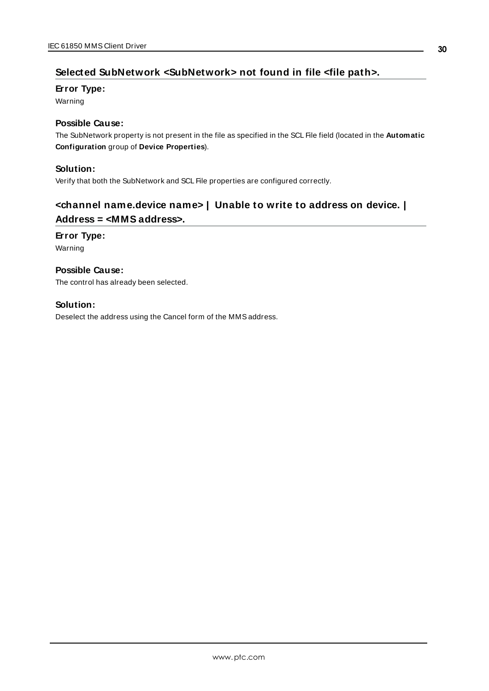## <span id="page-29-0"></span>**Selected SubNetwork <SubNetwork> not found in file <file path>.**

#### **Error Type:**

Warning

#### **Possible Cause:**

The SubNetwork property is not present in the file as specified in the SCL File field (located in the **Automatic Configuration** group of **Device Properties**).

#### **Solution:**

<span id="page-29-1"></span>Verify that both the SubNetwork and SCL File properties are configured correctly.

## **<channel name.device name> | Unable to write to address on device. | Address = <MMS address>.**

#### **Error Type:**

Warning

#### **Possible Cause:** The control has already been selected.

#### **Solution:**

Deselect the address using the Cancel form of the MMSaddress.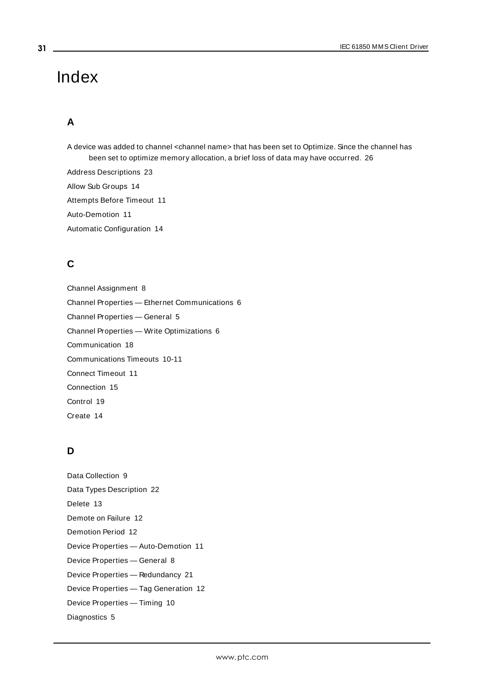## <span id="page-30-0"></span>Index

## **A**

A device was added to channel <channel name> that has been set to Optimize. Since the channel has been set to optimize memory allocation, a brief loss of data may have occurred. [26](#page-25-1)

Address Descriptions [23](#page-22-0) Allow Sub Groups [14](#page-13-1) Attempts Before Timeout [11](#page-10-1) Auto-Demotion [11](#page-10-0) Automatic Configuration [14](#page-13-0)

## **C**

Channel Assignment [8](#page-7-1) Channel Properties — Ethernet Communications [6](#page-5-0) Channel Properties — General [5](#page-4-0) Channel Properties — Write Optimizations [6](#page-5-2) Communication [18](#page-17-0) Communications Timeouts [10-11](#page-9-2) Connect Timeout [11](#page-10-2) Connection [15](#page-14-0) Control [19](#page-18-0) Create [14](#page-13-2)

## **D**

Data Collection [9](#page-8-2) Data Types Description [22](#page-21-0) Delete [13](#page-12-0) Demote on Failure [12](#page-11-1) Demotion Period [12](#page-11-2) Device Properties — Auto-Demotion [11](#page-10-0) Device Properties — General [8](#page-7-0) Device Properties — Redundancy [21](#page-20-0) Device Properties — Tag Generation [12](#page-11-0) Device Properties — Timing [10](#page-9-1) Diagnostics [5](#page-4-2)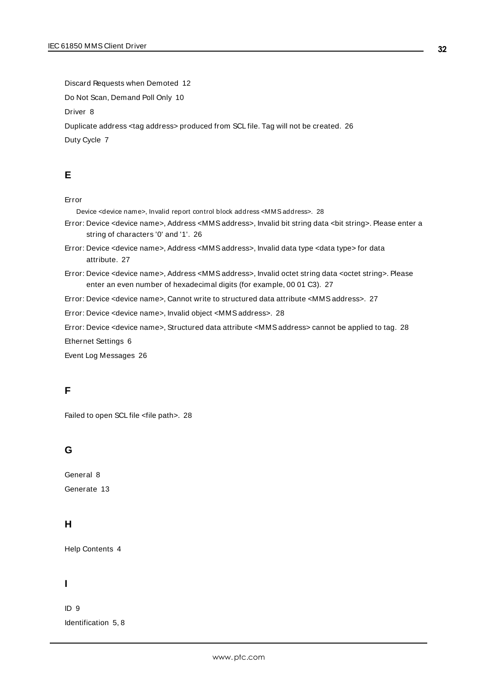Discard Requests when Demoted [12](#page-11-3) Do Not Scan, Demand Poll Only [10](#page-9-3) Driver [8](#page-7-2) Duplicate address <tag address> produced from SCL file. Tag will not be created. [26](#page-25-2) Duty Cycle [7](#page-6-1)

## **E**

#### Error

Device <device name>, Invalid report control block address <MMS address>. [28](#page-27-1)

- Error: Device <device name>, Address <MMSaddress>, Invalid bit string data <bit string>. Please enter a string of characters '0' and '1'. [26](#page-25-3)
- Error: Device <device name>, Address <MMSaddress>, Invalid data type <data type> for data attribute. [27](#page-26-0)
- Error: Device <device name>, Address <MMSaddress>, Invalid octet string data <octet string>. Please enter an even number of hexadecimal digits (for example, 00 01 C3). [27](#page-26-1)
- Error: Device <device name>, Cannot write to structured data attribute <MMSaddress>. [27](#page-26-2)
- Error: Device <device name>, Invalid object <MMSaddress>. [28](#page-27-0)
- Error: Device <device name>, Structured data attribute <MMSaddress> cannot be applied to tag. [28](#page-27-2)

Ethernet Settings [6](#page-5-3)

Event Log Messages [26](#page-25-0)

## **F**

Failed to open SCL file <file path>. [28](#page-27-3)

## **G**

General [8](#page-7-0) Generate [13](#page-12-1)

#### **H**

Help Contents [4](#page-3-0)

#### **I**

ID [9](#page-8-3) Identification [5](#page-4-3), [8](#page-7-3)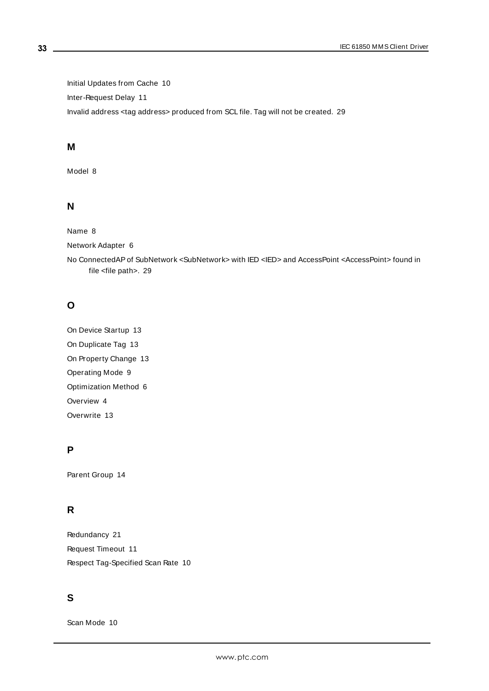Initial Updates from Cache [10](#page-9-4) Inter-Request Delay [11](#page-10-3) Invalid address <tag address> produced from SCL file. Tag will not be created. [29](#page-28-0)

## **M**

Model [8](#page-7-4)

## **N**

Name [8](#page-7-5)

Network Adapter [6](#page-5-4)

No ConnectedAPof SubNetwork <SubNetwork> with IED <IED> and AccessPoint <AccessPoint> found in file <file path>. [29](#page-28-1)

## **O**

On Device Startup [13](#page-12-2) On Duplicate Tag [13](#page-12-3) On Property Change [13](#page-12-4) Operating Mode [9](#page-8-0) Optimization Method [6](#page-5-5) Overview [4](#page-3-1) Overwrite [13](#page-12-5)

## **P**

Parent Group [14](#page-13-3)

## **R**

Redundancy [21](#page-20-0) Request Timeout [11](#page-10-4) Respect Tag-Specified Scan Rate [10](#page-9-5)

## **S**

Scan Mode [10](#page-9-6)